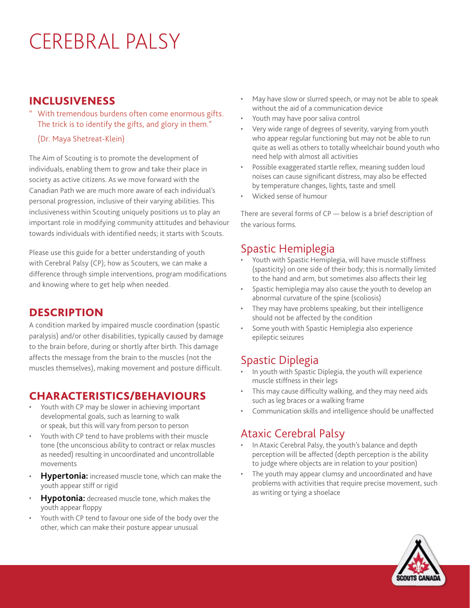# CEREBRAL PALSY

#### INCLUSIVENESS

- With tremendous burdens often come enormous gifts. The trick is to identify the gifts, and glory in them."
	- (Dr. Maya Shetreat-Klein)

The Aim of Scouting is to promote the development of individuals, enabling them to grow and take their place in society as active citizens. As we move forward with the Canadian Path we are much more aware of each individual's personal progression, inclusive of their varying abilities. This inclusiveness within Scouting uniquely positions us to play an important role in modifying community attitudes and behaviour towards individuals with identified needs; it starts with Scouts.

Please use this guide for a better understanding of youth with Cerebral Palsy (CP); how as Scouters, we can make a difference through simple interventions, program modifications and knowing where to get help when needed.

### **DESCRIPTION**

A condition marked by impaired muscle coordination (spastic paralysis) and/or other disabilities, typically caused by damage to the brain before, during or shortly after birth. This damage affects the message from the brain to the muscles (not the muscles themselves), making movement and posture difficult.

### CHARACTERISTICS/BEHAVIOURS

- Youth with CP may be slower in achieving important developmental goals, such as learning to walk or speak, but this will vary from person to person
- Youth with CP tend to have problems with their muscle tone (the unconscious ability to contract or relax muscles as needed) resulting in uncoordinated and uncontrollable movements
- **Hypertonia:** increased muscle tone, which can make the youth appear stiff or rigid
- **Hypotonia:** decreased muscle tone, which makes the youth appear floppy
- Youth with CP tend to favour one side of the body over the other, which can make their posture appear unusual
- May have slow or slurred speech, or may not be able to speak without the aid of a communication device
- Youth may have poor saliva control
- Very wide range of degrees of severity, varying from youth who appear regular functioning but may not be able to run quite as well as others to totally wheelchair bound youth who need help with almost all activities
- Possible exaggerated startle reflex, meaning sudden loud noises can cause significant distress, may also be effected by temperature changes, lights, taste and smell
- Wicked sense of humour

There are several forms of CP — below is a brief description of the various forms.

# Spastic Hemiplegia

- Youth with Spastic Hemiplegia, will have muscle stiffness (spasticity) on one side of their body; this is normally limited to the hand and arm, but sometimes also affects their leg
- Spastic hemiplegia may also cause the youth to develop an abnormal curvature of the spine (scoliosis)
- They may have problems speaking, but their intelligence should not be affected by the condition
- Some youth with Spastic Hemiplegia also experience epileptic seizures

# Spastic Diplegia

- In youth with Spastic Diplegia, the youth will experience muscle stiffness in their legs
- This may cause difficulty walking, and they may need aids such as leg braces or a walking frame
- Communication skills and intelligence should be unaffected

# Ataxic Cerebral Palsy

- In Ataxic Cerebral Palsy, the youth's balance and depth perception will be affected (depth perception is the ability to judge where objects are in relation to your position)
- The youth may appear clumsy and uncoordinated and have problems with activities that require precise movement, such as writing or tying a shoelace